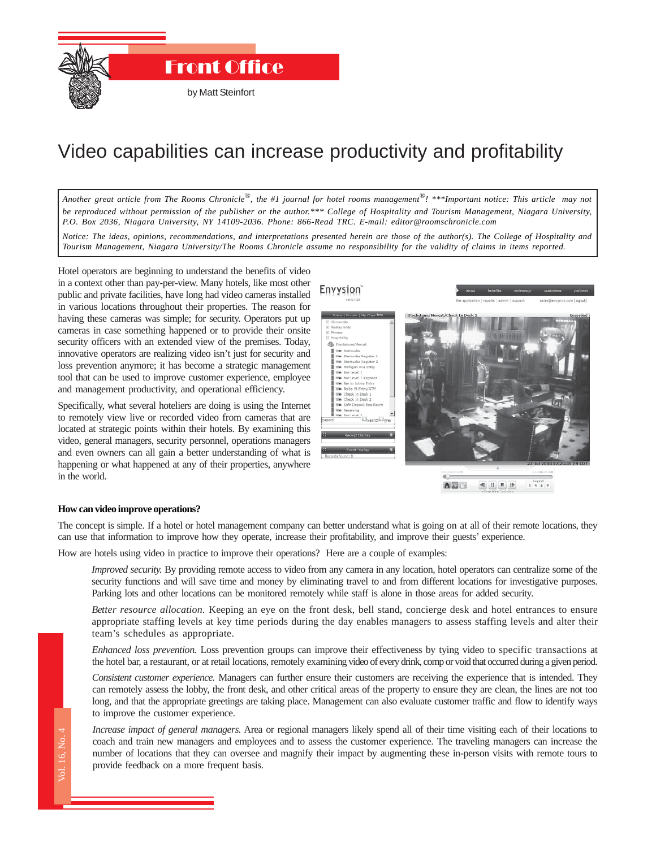

# Video capabilities can increase productivity and profitability

*Another great article from The Rooms Chronicle*®*, the #1 journal for hotel rooms management*®*! \*\*\*Important notice: This article may not be reproduced without permission of the publisher or the author.\*\*\* College of Hospitality and Tourism Management, Niagara University, P.O. Box 2036, Niagara University, NY 14109-2036. Phone: 866-Read TRC. E-mail: editor@roomschronicle.com*

*Notice: The ideas, opinions, recommendations, and interpretations presented herein are those of the author(s). The College of Hospitality and Tourism Management, Niagara University/The Rooms Chronicle assume no responsibility for the validity of claims in items reported.*

Hotel operators are beginning to understand the benefits of video in a context other than pay-per-view. Many hotels, like most other public and private facilities, have long had video cameras installed in various locations throughout their properties. The reason for having these cameras was simple; for security. Operators put up cameras in case something happened or to provide their onsite security officers with an extended view of the premises. Today, innovative operators are realizing video isn't just for security and loss prevention anymore; it has become a strategic management tool that can be used to improve customer experience, employee and management productivity, and operational efficiency.

Specifically, what several hoteliers are doing is using the Internet to remotely view live or recorded video from cameras that are located at strategic points within their hotels. By examining this video, general managers, security personnel, operations managers and even owners can all gain a better understanding of what is happening or what happened at any of their properties, anywhere in the world.



### **How can video improve operations?**

The concept is simple. If a hotel or hotel management company can better understand what is going on at all of their remote locations, they can use that information to improve how they operate, increase their profitability, and improve their guests' experience.

How are hotels using video in practice to improve their operations? Here are a couple of examples:

*Improved security.* By providing remote access to video from any camera in any location, hotel operators can centralize some of the security functions and will save time and money by eliminating travel to and from different locations for investigative purposes. Parking lots and other locations can be monitored remotely while staff is alone in those areas for added security.

*Better resource allocation.* Keeping an eye on the front desk, bell stand, concierge desk and hotel entrances to ensure appropriate staffing levels at key time periods during the day enables managers to assess staffing levels and alter their team's schedules as appropriate.

*Enhanced loss prevention.* Loss prevention groups can improve their effectiveness by tying video to specific transactions at the hotel bar, a restaurant, or at retail locations, remotely examining video of every drink, comp or void that occurred during a given period.

ne le long<br>The Rooms Chronicle<br>Chronicle<br>Chronicle<br>The Rooms Chronicle *Consistent customer experience.* Managers can further ensure their customers are receiving the experience that is intended. They can remotely assess the lobby, the front desk, and other critical areas of the property to ensure they are clean, the lines are not too long, and that the appropriate greetings are taking place. Management can also evaluate customer traffic and flow to identify ways to improve the customer experience.

*Increase impact of general managers.* Area or regional managers likely spend all of their time visiting each of their locations to coach and train new managers and employees and to assess the customer experience. The traveling managers can increase the number of locations that they can oversee and magnify their impact by augmenting these in-person visits with remote tours to provide feedback on a more frequent basis.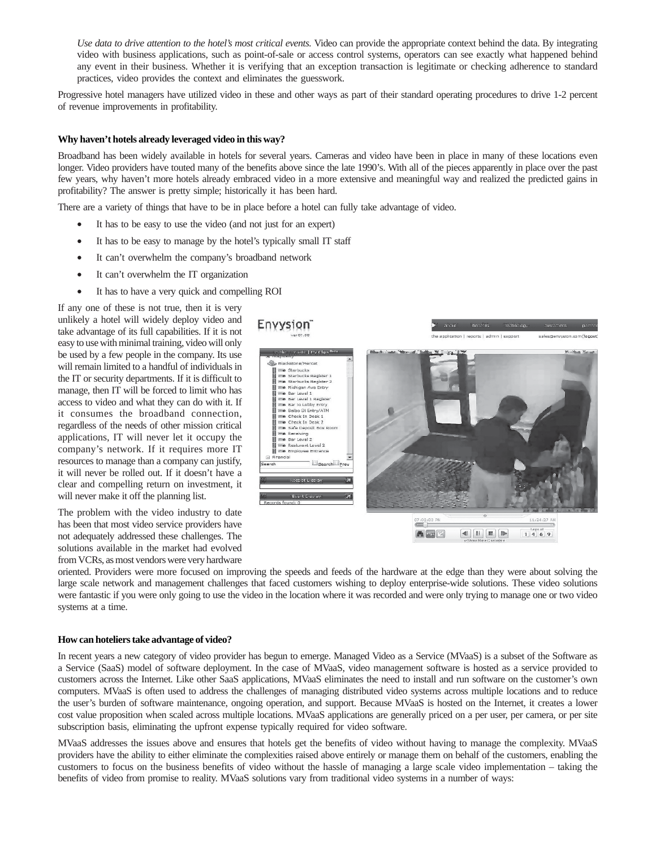*Use data to drive attention to the hotel's most critical events.* Video can provide the appropriate context behind the data. By integrating video with business applications, such as point-of-sale or access control systems, operators can see exactly what happened behind any event in their business. Whether it is verifying that an exception transaction is legitimate or checking adherence to standard practices, video provides the context and eliminates the guesswork.

Progressive hotel managers have utilized video in these and other ways as part of their standard operating procedures to drive 1-2 percent of revenue improvements in profitability.

## **Why haven't hotels already leveraged video in this way?**

Broadband has been widely available in hotels for several years. Cameras and video have been in place in many of these locations even longer. Video providers have touted many of the benefits above since the late 1990's. With all of the pieces apparently in place over the past few years, why haven't more hotels already embraced video in a more extensive and meaningful way and realized the predicted gains in profitability? The answer is pretty simple; historically it has been hard.

There are a variety of things that have to be in place before a hotel can fully take advantage of video.

- It has to be easy to use the video (and not just for an expert)
- It has to be easy to manage by the hotel's typically small IT staff
- It can't overwhelm the company's broadband network
- It can't overwhelm the IT organization
- It has to have a very quick and compelling ROI

If any one of these is not true, then it is very unlikely a hotel will widely deploy video and take advantage of its full capabilities. If it is not easy to use with minimal training, video will only be used by a few people in the company. Its use will remain limited to a handful of individuals in the IT or security departments. If it is difficult to manage, then IT will be forced to limit who has access to video and what they can do with it. If it consumes the broadband connection, regardless of the needs of other mission critical applications, IT will never let it occupy the company's network. If it requires more IT resources to manage than a company can justify, it will never be rolled out. If it doesn't have a clear and compelling return on investment, it will never make it off the planning list.

The problem with the video industry to date has been that most video service providers have not adequately addressed these challenges. The solutions available in the market had evolved from VCRs, as most vendors were very hardware



oriented. Providers were more focused on improving the speeds and feeds of the hardware at the edge than they were about solving the large scale network and management challenges that faced customers wishing to deploy enterprise-wide solutions. These video solutions were fantastic if you were only going to use the video in the location where it was recorded and were only trying to manage one or two video systems at a time.

### **How can hoteliers take advantage of video?**

In recent years a new category of video provider has begun to emerge. Managed Video as a Service (MVaaS) is a subset of the Software as a Service (SaaS) model of software deployment. In the case of MVaaS, video management software is hosted as a service provided to customers across the Internet. Like other SaaS applications, MVaaS eliminates the need to install and run software on the customer's own computers. MVaaS is often used to address the challenges of managing distributed video systems across multiple locations and to reduce the user's burden of software maintenance, ongoing operation, and support. Because MVaaS is hosted on the Internet, it creates a lower cost value proposition when scaled across multiple locations. MVaaS applications are generally priced on a per user, per camera, or per site subscription basis, eliminating the upfront expense typically required for video software.

MVaaS addresses the issues above and ensures that hotels get the benefits of video without having to manage the complexity. MVaaS providers have the ability to either eliminate the complexities raised above entirely or manage them on behalf of the customers, enabling the customers to focus on the business benefits of video without the hassle of managing a large scale video implementation – taking the benefits of video from promise to reality. MVaaS solutions vary from traditional video systems in a number of ways: